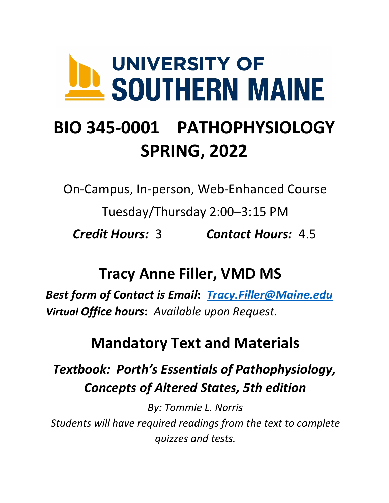# **UNIVERSITY OF** SOUTHERN MAINE

# **BIO 345-0001 PATHOPHYSIOLOGY SPRING, 2022**

*Credit Hours: 3* On-Campus, In-person, Web-Enhanced Course Tuesday/Thursday 2:00–3:15 PM *Credit Hours:* 3 *Contact Hours:* 4.5

# **Tracy Anne Filler, VMD MS**

 *Best form of Contact is Email***:** *[Tracy.Filler@Maine.edu](mailto:Tracy.Filler@Maine.edu) Virtual Office hours***:** *Available upon Request*.

# **Mandatory Text and Materials**

# *Textbook: Porth's Essentials of Pathophysiology, Concepts of Altered States, 5th edition*

 *By: Tommie L. Norris Students will have required readings from the text to complete quizzes and tests.*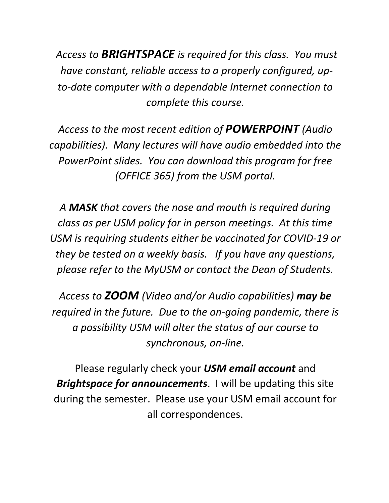*Access to BRIGHTSPACE is required for this class. You must have constant, reliable access to a properly configured, up- to-date computer with a dependable Internet connection to complete this course.* 

 *Access to the most recent edition of POWERPOINT (Audio capabilities). Many lectures will have audio embedded into the PowerPoint slides. You can download this program for free (OFFICE 365) from the USM portal.* 

 *A MASK that covers the nose and mouth is required during class as per USM policy for in person meetings. At this time USM is requiring students either be vaccinated for COVID-19 or they be tested on a weekly basis. If you have any questions, please refer to the MyUSM or contact the Dean of Students.* 

 *Access to ZOOM (Video and/or Audio capabilities) may be required in the future. Due to the on-going pandemic, there is a possibility USM will alter the status of our course to synchronous, on-line.* 

 Please regularly check your *USM email account* and *Brightspace for announcements*. I will be updating this site during the semester. Please use your USM email account for all correspondences.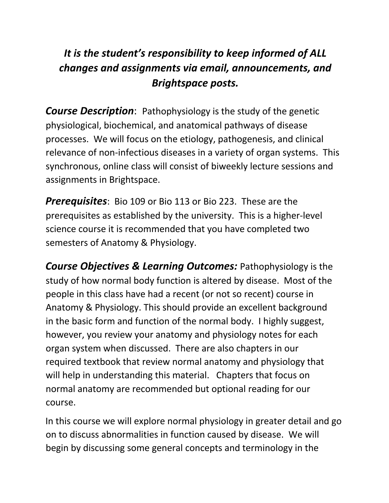#### *It is the student's responsibility to keep informed of ALL changes and assignments via email, announcements, and Brightspace posts.*

 physiological, biochemical, and anatomical pathways of disease processes. We will focus on the etiology, pathogenesis, and clinical synchronous, online class will consist of biweekly lecture sessions and assignments in Brightspace. *Course Description*: Pathophysiology is the study of the genetic relevance of non-infectious diseases in a variety of organ systems. This

 *Prerequisites*: Bio 109 or Bio 113 or Bio 223. These are the prerequisites as established by the university. This is a higher-level science course it is recommended that you have completed two semesters of Anatomy & Physiology.

*Course Objectives & Learning Outcomes: Pathophysiology is the*  study of how normal body function is altered by disease. Most of the people in this class have had a recent (or not so recent) course in Anatomy & Physiology. This should provide an excellent background in the basic form and function of the normal body. I highly suggest, however, you review your anatomy and physiology notes for each organ system when discussed. There are also chapters in our required textbook that review normal anatomy and physiology that will help in understanding this material. Chapters that focus on normal anatomy are recommended but optional reading for our course.

 on to discuss abnormalities in function caused by disease. We will begin by discussing some general concepts and terminology in the In this course we will explore normal physiology in greater detail and go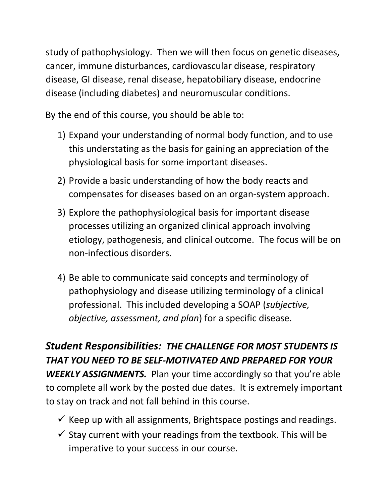study of pathophysiology. Then we will then focus on genetic diseases, cancer, immune disturbances, cardiovascular disease, respiratory disease, GI disease, renal disease, hepatobiliary disease, endocrine disease (including diabetes) and neuromuscular conditions.

By the end of this course, you should be able to:

- 1) Expand your understanding of normal body function, and to use this understating as the basis for gaining an appreciation of the physiological basis for some important diseases.
- 2) Provide a basic understanding of how the body reacts and compensates for diseases based on an organ-system approach.
- 3) Explore the pathophysiological basis for important disease etiology, pathogenesis, and clinical outcome. The focus will be on processes utilizing an organized clinical approach involving non-infectious disorders.
- 4) Be able to communicate said concepts and terminology of pathophysiology and disease utilizing terminology of a clinical professional. This included developing a SOAP (*subjective, objective, assessment, and plan*) for a specific disease.

 *Student Responsibilities: THE CHALLENGE FOR MOST STUDENTS IS THAT YOU NEED TO BE SELF-MOTIVATED AND PREPARED FOR YOUR WEEKLY ASSIGNMENTS.* Plan your time accordingly so that you're able to complete all work by the posted due dates. It is extremely important to stay on track and not fall behind in this course.

- $\checkmark$  Keep up with all assignments, Brightspace postings and readings.
- $\checkmark$  Stay current with your readings from the textbook. This will be imperative to your success in our course.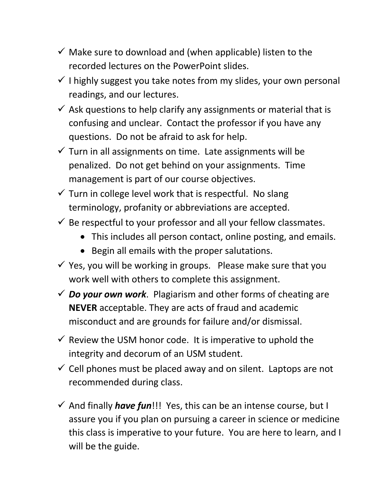- $\checkmark$  Make sure to download and (when applicable) listen to the recorded lectures on the PowerPoint slides.
- $\checkmark$  I highly suggest you take notes from my slides, your own personal readings, and our lectures.
- $\checkmark$  Ask questions to help clarify any assignments or material that is confusing and unclear. Contact the professor if you have any questions. Do not be afraid to ask for help.
- $\checkmark$  Turn in all assignments on time. Late assignments will be penalized. Do not get behind on your assignments. Time management is part of our course objectives.
- $\checkmark$  Turn in college level work that is respectful. No slang terminology, profanity or abbreviations are accepted.
- $\checkmark$  Be respectful to your professor and all your fellow classmates.
	- This includes all person contact, online posting, and emails.
	- Begin all emails with the proper salutations.
- $\checkmark$  Yes, you will be working in groups. Please make sure that you work well with others to complete this assignment.
- *Do your own work*. Plagiarism and other forms of cheating are **NEVER** acceptable. They are acts of fraud and academic misconduct and are grounds for failure and/or dismissal.
- $\checkmark$  Review the USM honor code. It is imperative to uphold the integrity and decorum of an USM student.
- $\checkmark$  Cell phones must be placed away and on silent. Laptops are not recommended during class.
- • And finally *have fun*!!! Yes, this can be an intense course, but I assure you if you plan on pursuing a career in science or medicine this class is imperative to your future. You are here to learn, and I will be the guide.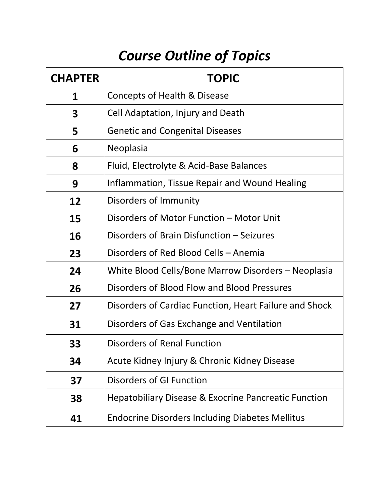# *Course Outline of Topics*

| <b>CHAPTER</b> | <b>TOPIC</b>                                                    |  |  |  |  |
|----------------|-----------------------------------------------------------------|--|--|--|--|
| 1              | Concepts of Health & Disease                                    |  |  |  |  |
| 3              | Cell Adaptation, Injury and Death                               |  |  |  |  |
| 5              | <b>Genetic and Congenital Diseases</b>                          |  |  |  |  |
| 6              | Neoplasia                                                       |  |  |  |  |
| 8              | Fluid, Electrolyte & Acid-Base Balances                         |  |  |  |  |
| 9              | Inflammation, Tissue Repair and Wound Healing                   |  |  |  |  |
| 12             | Disorders of Immunity                                           |  |  |  |  |
| 15             | Disorders of Motor Function - Motor Unit                        |  |  |  |  |
| 16             | Disorders of Brain Disfunction - Seizures                       |  |  |  |  |
| 23             | Disorders of Red Blood Cells - Anemia                           |  |  |  |  |
| 24             | White Blood Cells/Bone Marrow Disorders – Neoplasia             |  |  |  |  |
| 26             | Disorders of Blood Flow and Blood Pressures                     |  |  |  |  |
| 27             | Disorders of Cardiac Function, Heart Failure and Shock          |  |  |  |  |
| 31             | Disorders of Gas Exchange and Ventilation                       |  |  |  |  |
| 33             | Disorders of Renal Function                                     |  |  |  |  |
| 34             | Acute Kidney Injury & Chronic Kidney Disease                    |  |  |  |  |
| 37             | Disorders of GI Function                                        |  |  |  |  |
| 38             | <b>Hepatobiliary Disease &amp; Exocrine Pancreatic Function</b> |  |  |  |  |
| 41             | <b>Endocrine Disorders Including Diabetes Mellitus</b>          |  |  |  |  |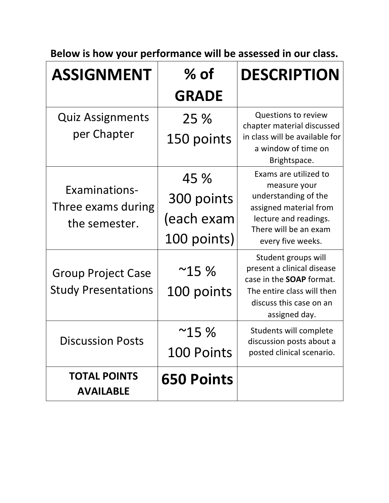**Below is how your performance will be assessed in our class.** 

| <b>ASSIGNMENT</b>                          | $%$ of            | <b>DESCRIPTION</b>                                                                   |  |  |
|--------------------------------------------|-------------------|--------------------------------------------------------------------------------------|--|--|
|                                            | <b>GRADE</b>      |                                                                                      |  |  |
| <b>Quiz Assignments</b>                    | 25 %              | <b>Questions to review</b><br>chapter material discussed                             |  |  |
| per Chapter                                | 150 points        | in class will be available for<br>a window of time on<br>Brightspace.                |  |  |
|                                            | 45 %              | Exams are utilized to<br>measure your                                                |  |  |
| <b>Examinations-</b><br>Three exams during | 300 points        | understanding of the<br>assigned material from                                       |  |  |
| the semester.                              | (each exam        | lecture and readings.<br>There will be an exam                                       |  |  |
|                                            | 100 points)       | every five weeks.                                                                    |  |  |
| <b>Group Project Case</b>                  | ~15%              | Student groups will<br>present a clinical disease<br>case in the <b>SOAP</b> format. |  |  |
| <b>Study Presentations</b>                 | 100 points        | The entire class will then<br>discuss this case on an<br>assigned day.               |  |  |
| Discussion Posts                           | $^{\sim}$ 15 %    | Students will complete<br>discussion posts about a                                   |  |  |
|                                            | <b>100 Points</b> | posted clinical scenario.                                                            |  |  |
| <b>TOTAL POINTS</b><br><b>AVAILABLE</b>    | <b>650 Points</b> |                                                                                      |  |  |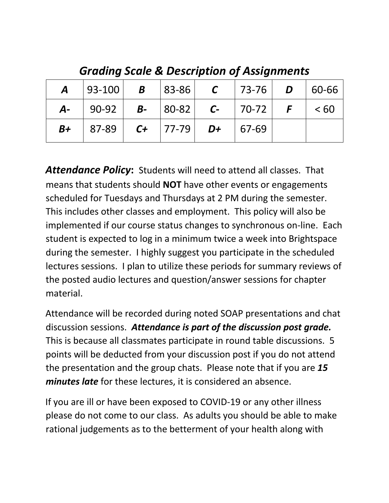|      | <b>A</b>  93-100   <b>B</b>  83-86   <b>C</b>  73-76   <b>D</b>  60-66        |  |  |  |
|------|-------------------------------------------------------------------------------|--|--|--|
|      | <b>A</b> -   90-92   <b>B</b> -   80-82   <b>C</b> -   70-72   <b>F</b>   <60 |  |  |  |
| $B+$ | $  87-89   C+   77-79   D+   67-69$                                           |  |  |  |

 *Grading Scale & Description of Assignments* 

 means that students should **NOT** have other events or engagements scheduled for Tuesdays and Thursdays at 2 PM during the semester. This includes other classes and employment. This policy will also be implemented if our course status changes to synchronous on-line. Each student is expected to log in a minimum twice a week into Brightspace during the semester. I highly suggest you participate in the scheduled lectures sessions. I plan to utilize these periods for summary reviews of the posted audio lectures and question/answer sessions for chapter *Attendance Policy***:** Students will need to attend all classes. That material.

 discussion sessions. *Attendance is part of the discussion post grade.*  This is because all classmates participate in round table discussions. 5 points will be deducted from your discussion post if you do not attend the presentation and the group chats. Please note that if you are *15 minutes late* for these lectures, it is considered an absence. Attendance will be recorded during noted SOAP presentations and chat

 If you are ill or have been exposed to COVID-19 or any other illness please do not come to our class. As adults you should be able to make rational judgements as to the betterment of your health along with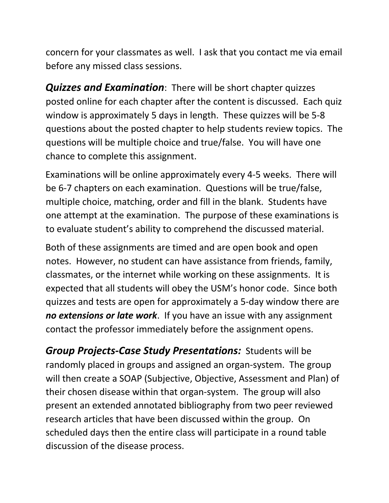before any missed class sessions. concern for your classmates as well. I ask that you contact me via email

 *Quizzes and Examination*: There will be short chapter quizzes window is approximately 5 days in length. These quizzes will be 5-8 questions about the posted chapter to help students review topics. The questions will be multiple choice and true/false. You will have one chance to complete this assignment. posted online for each chapter after the content is discussed. Each quiz

 Examinations will be online approximately every 4-5 weeks. There will be 6-7 chapters on each examination. Questions will be true/false, multiple choice, matching, order and fill in the blank. Students have one attempt at the examination. The purpose of these examinations is

to evaluate student's ability to comprehend the discussed material.<br>Both of these assignments are timed and are open book and open Both of these assignments are timed and are open book and open notes. However, no student can have assistance from friends, family, classmates, or the internet while working on these assignments. It is expected that all students will obey the USM's honor code. Since both quizzes and tests are open for approximately a 5-day window there are contact the professor immediately before the assignment opens. *no extensions or late work*. If you have an issue with any assignment

 *Group Projects-Case Study Presentations:* Students will be randomly placed in groups and assigned an organ-system. The group will then create a SOAP (Subjective, Objective, Assessment and Plan) of their chosen disease within that organ-system. The group will also research articles that have been discussed within the group. On scheduled days then the entire class will participate in a round table discussion of the disease process. present an extended annotated bibliography from two peer reviewed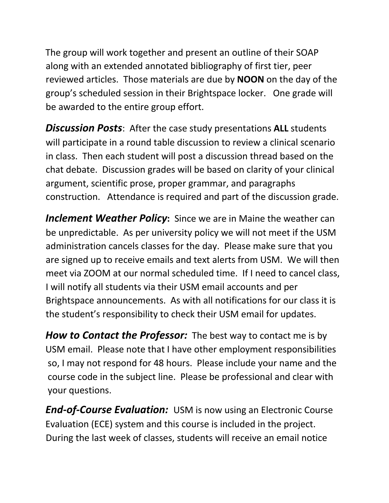The group will work together and present an outline of their SOAP along with an extended annotated bibliography of first tier, peer reviewed articles. Those materials are due by **NOON** on the day of the be awarded to the entire group effort. group's scheduled session in their Brightspace locker. One grade will

 *Discussion Posts*: After the case study presentations **ALL** students will participate in a round table discussion to review a clinical scenario in class. Then each student will post a discussion thread based on the chat debate. Discussion grades will be based on clarity of your clinical construction. Attendance is required and part of the discussion grade. argument, scientific prose, proper grammar, and paragraphs

 *Inclement Weather Policy***:** Since we are in Maine the weather can be unpredictable. As per university policy we will not meet if the USM administration cancels classes for the day. Please make sure that you are signed up to receive emails and text alerts from USM. We will then meet via ZOOM at our normal scheduled time. If I need to cancel class, the student's responsibility to check their USM email for updates. I will notify all students via their USM email accounts and per Brightspace announcements. As with all notifications for our class it is

How to Contact the Professor: The best way to contact me is by USM email. Please note that I have other employment responsibilities so, I may not respond for 48 hours. Please include your name and the course code in the subject line. Please be professional and clear with your questions.

 *End-of-Course Evaluation:* USM is now using an Electronic Course Evaluation (ECE) system and this course is included in the project. During the last week of classes, students will receive an email notice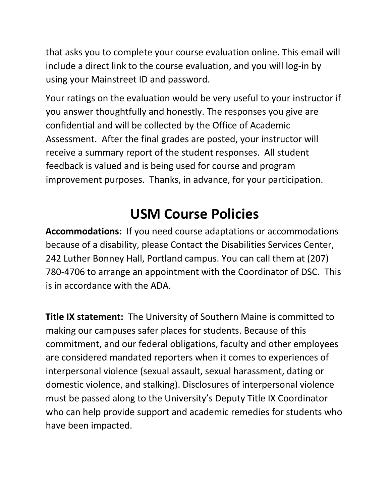that asks you to complete your course evaluation online. This email will include a direct link to the course evaluation, and you will log-in by using your Mainstreet ID and password.

 Your ratings on the evaluation would be very useful to your instructor if confidential and will be collected by the Office of Academic Assessment. After the final grades are posted, your instructor will receive a summary report of the student responses. All student improvement purposes. Thanks, in advance, for your participation. you answer thoughtfully and honestly. The responses you give are feedback is valued and is being used for course and program

## **USM Course Policies**

 **Accommodations:** If you need course adaptations or accommodations because of a disability, please Contact the Disabilities Services Center, 242 Luther Bonney Hall, Portland campus. You can call them at (207) 780-4706 to arrange an appointment with the Coordinator of DSC. This is in accordance with the ADA.

 **Title IX statement:** The University of Southern Maine is committed to making our campuses safer places for students. Because of this commitment, and our federal obligations, faculty and other employees are considered mandated reporters when it comes to experiences of domestic violence, and stalking). Disclosures of interpersonal violence must be passed along to the University's Deputy Title IX Coordinator who can help provide support and academic remedies for students who have been impacted. interpersonal violence (sexual assault, sexual harassment, dating or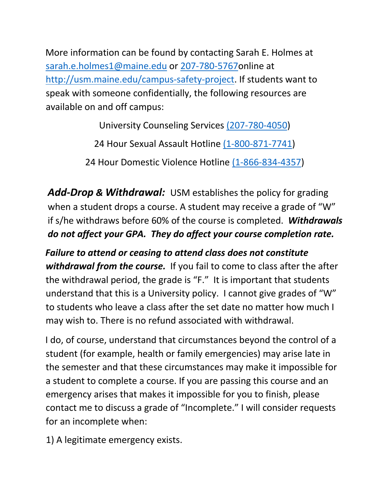More information can be found by contacting Sarah E. Holmes at [sarah.e.holmes1@maine.edu](mailto:sarah.e.holmes1@maine.edu) or 207-780-5767online at speak with someone confidentially, the following resources are available on and off campus: [http://usm.maine.edu/campus-safety-project.](http://usm.maine.edu/campus-safety-project) If students want to

University Counseling Services (207-780-4050)

24 Hour Sexual Assault Hotline (1-800-871-7741)

24 Hour Domestic Violence Hotline (1-866-834-4357)

 *Add-Drop & Withdrawal:* USM establishes the policy for grading when a student drops a course. A student may receive a grade of "W" if s/he withdraws before 60% of the course is completed. *Withdrawals do not affect your GPA. They do affect your course completion rate.* 

 *Failure to attend or ceasing to attend class does not constitute*  withdrawal from the course. If you fail to come to class after the after the withdrawal period, the grade is "F." It is important that students understand that this is a University policy. I cannot give grades of "W" to students who leave a class after the set date no matter how much I may wish to. There is no refund associated with withdrawal.

 student (for example, health or family emergencies) may arise late in the semester and that these circumstances may make it impossible for a student to complete a course. If you are passing this course and an emergency arises that makes it impossible for you to finish, please contact me to discuss a grade of "Incomplete." I will consider requests for an incomplete when: for an incomplete when:<br>1) A legitimate emergency exists. I do, of course, understand that circumstances beyond the control of a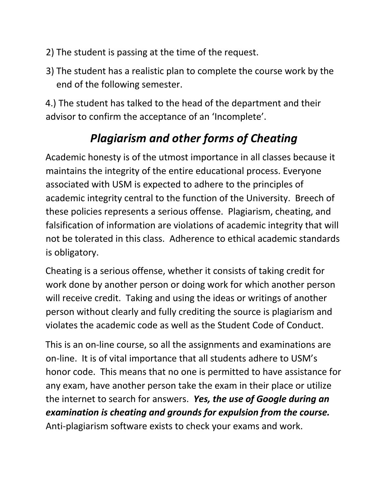- 2) The student is passing at the time of the request.
- 3) The student has a realistic plan to complete the course work by the end of the following semester.

 4.) The student has talked to the head of the department and their advisor to confirm the acceptance of an 'Incomplete'.

### *Plagiarism and other forms of Cheating*

 Academic honesty is of the utmost importance in all classes because it maintains the integrity of the entire educational process. Everyone associated with USM is expected to adhere to the principles of academic integrity central to the function of the University. Breech of these policies represents a serious offense. Plagiarism, cheating, and falsification of information are violations of academic integrity that will not be tolerated in this class. Adherence to ethical academic standards is obligatory.

 Cheating is a serious offense, whether it consists of taking credit for work done by another person or doing work for which another person will receive credit. Taking and using the ideas or writings of another person without clearly and fully crediting the source is plagiarism and violates the academic code as well as the Student Code of Conduct.

 This is an on-line course, so all the assignments and examinations are on-line. It is of vital importance that all students adhere to USM's honor code. This means that no one is permitted to have assistance for any exam, have another person take the exam in their place or utilize the internet to search for answers. *Yes, the use of Google during an examination is cheating and grounds for expulsion from the course.*  Anti-plagiarism software exists to check your exams and work.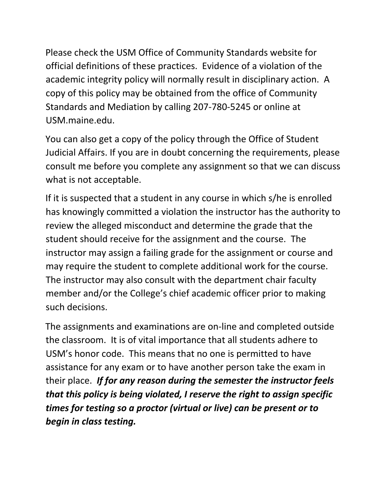Please check the USM Office of Community Standards website for official definitions of these practices. Evidence of a violation of the academic integrity policy will normally result in disciplinary action. A copy of this policy may be obtained from the office of Community Standards and Mediation by calling 207-780-5245 or online at USM.maine.edu.

[USM.maine.edu.](https://USM.maine.edu)<br>You can also get a copy of the policy through the Office of Student Judicial Affairs. If you are in doubt concerning the requirements, please consult me before you complete any assignment so that we can discuss what is not acceptable.

 review the alleged misconduct and determine the grade that the student should receive for the assignment and the course. The instructor may assign a failing grade for the assignment or course and may require the student to complete additional work for the course. such decisions. If it is suspected that a student in any course in which s/he is enrolled has knowingly committed a violation the instructor has the authority to The instructor may also consult with the department chair faculty member and/or the College's chief academic officer prior to making

 the classroom. It is of vital importance that all students adhere to USM's honor code. This means that no one is permitted to have assistance for any exam or to have another person take the exam in their place. *If for any reason during the semester the instructor feels that this policy is being violated, I reserve the right to assign specific times for testing so a proctor (virtual or live) can be present or to begin in class testing.* The assignments and examinations are on-line and completed outside